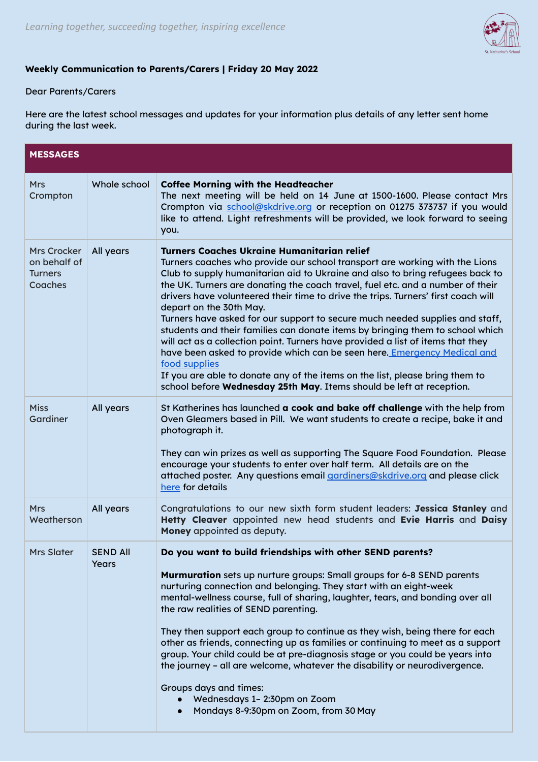

## **Weekly Communication to Parents/Carers | Friday 20 May 2022**

## Dear Parents/Carers

Here are the latest school messages and updates for your information plus details of any letter sent home during the last week.

| <b>MESSAGES</b>                                                 |                          |                                                                                                                                                                                                                                                                                                                                                                                                                                                                                                                                                                                                                                                                                                                                                                                                                                                                                                                               |  |  |
|-----------------------------------------------------------------|--------------------------|-------------------------------------------------------------------------------------------------------------------------------------------------------------------------------------------------------------------------------------------------------------------------------------------------------------------------------------------------------------------------------------------------------------------------------------------------------------------------------------------------------------------------------------------------------------------------------------------------------------------------------------------------------------------------------------------------------------------------------------------------------------------------------------------------------------------------------------------------------------------------------------------------------------------------------|--|--|
| <b>Mrs</b><br>Crompton                                          | Whole school             | <b>Coffee Morning with the Headteacher</b><br>The next meeting will be held on 14 June at 1500-1600. Please contact Mrs<br>Crompton via school@skdrive.org or reception on 01275 373737 if you would<br>like to attend. Light refreshments will be provided, we look forward to seeing<br>you.                                                                                                                                                                                                                                                                                                                                                                                                                                                                                                                                                                                                                                |  |  |
| <b>Mrs Crocker</b><br>on behalf of<br><b>Turners</b><br>Coaches | All years                | <b>Turners Coaches Ukraine Humanitarian relief</b><br>Turners coaches who provide our school transport are working with the Lions<br>Club to supply humanitarian aid to Ukraine and also to bring refugees back to<br>the UK. Turners are donating the coach travel, fuel etc. and a number of their<br>drivers have volunteered their time to drive the trips. Turners' first coach will<br>depart on the 30th May.<br>Turners have asked for our support to secure much needed supplies and staff,<br>students and their families can donate items by bringing them to school which<br>will act as a collection point. Turners have provided a list of items that they<br>have been asked to provide which can be seen here. Emergency Medical and<br>food supplies<br>If you are able to donate any of the items on the list, please bring them to<br>school before Wednesday 25th May. Items should be left at reception. |  |  |
| <b>Miss</b><br>Gardiner                                         | All years                | St Katherines has launched a cook and bake off challenge with the help from<br>Oven Gleamers based in Pill. We want students to create a recipe, bake it and<br>photograph it.<br>They can win prizes as well as supporting The Square Food Foundation. Please<br>encourage your students to enter over half term. All details are on the<br>attached poster. Any questions email gardiners@skdrive.org and please click<br>here for details                                                                                                                                                                                                                                                                                                                                                                                                                                                                                  |  |  |
| <b>Mrs</b><br>Weatherson                                        | All years                | Congratulations to our new sixth form student leaders: Jessica Stanley and<br>Hetty Cleaver appointed new head students and Evie Harris and Daisy<br>Money appointed as deputy.                                                                                                                                                                                                                                                                                                                                                                                                                                                                                                                                                                                                                                                                                                                                               |  |  |
| <b>Mrs Slater</b>                                               | <b>SEND All</b><br>Years | Do you want to build friendships with other SEND parents?<br>Murmuration sets up nurture groups: Small groups for 6-8 SEND parents<br>nurturing connection and belonging. They start with an eight-week<br>mental-wellness course, full of sharing, laughter, tears, and bonding over all<br>the raw realities of SEND parenting.<br>They then support each group to continue as they wish, being there for each<br>other as friends, connecting up as families or continuing to meet as a support<br>group. Your child could be at pre-diagnosis stage or you could be years into<br>the journey - all are welcome, whatever the disability or neurodivergence.<br>Groups days and times:<br>Wednesdays 1- 2:30pm on Zoom<br>Mondays 8-9:30pm on Zoom, from 30 May                                                                                                                                                           |  |  |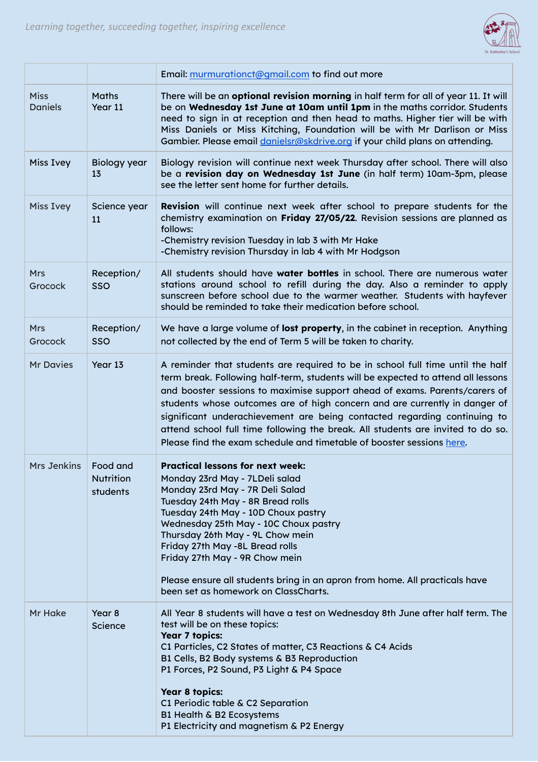

|                                          | Email: murmurationct@gmail.com to find out more                                                                                                                                                                                                                                                                                                                                                                                                                                                                                                                        |
|------------------------------------------|------------------------------------------------------------------------------------------------------------------------------------------------------------------------------------------------------------------------------------------------------------------------------------------------------------------------------------------------------------------------------------------------------------------------------------------------------------------------------------------------------------------------------------------------------------------------|
| <b>Maths</b><br>Year 11                  | There will be an optional revision morning in half term for all of year 11. It will<br>be on Wednesday 1st June at 10am until 1pm in the maths corridor. Students<br>need to sign in at reception and then head to maths. Higher tier will be with<br>Miss Daniels or Miss Kitching, Foundation will be with Mr Darlison or Miss<br>Gambier. Please email <i>danielsr@skdrive.org</i> if your child plans on attending.                                                                                                                                                |
| <b>Biology year</b><br>13                | Biology revision will continue next week Thursday after school. There will also<br>be a revision day on Wednesday 1st June (in half term) 10am-3pm, please<br>see the letter sent home for further details.                                                                                                                                                                                                                                                                                                                                                            |
| Science year<br>11                       | Revision will continue next week after school to prepare students for the<br>chemistry examination on Friday 27/05/22. Revision sessions are planned as<br>follows:<br>-Chemistry revision Tuesday in lab 3 with Mr Hake<br>-Chemistry revision Thursday in lab 4 with Mr Hodgson                                                                                                                                                                                                                                                                                      |
| Reception/<br>SSO                        | All students should have water bottles in school. There are numerous water<br>stations around school to refill during the day. Also a reminder to apply<br>sunscreen before school due to the warmer weather. Students with hayfever<br>should be reminded to take their medication before school.                                                                                                                                                                                                                                                                     |
| Reception/<br><b>SSO</b>                 | We have a large volume of lost property, in the cabinet in reception. Anything<br>not collected by the end of Term 5 will be taken to charity.                                                                                                                                                                                                                                                                                                                                                                                                                         |
| Year 13                                  | A reminder that students are required to be in school full time until the half<br>term break. Following half-term, students will be expected to attend all lessons<br>and booster sessions to maximise support ahead of exams. Parents/carers of<br>students whose outcomes are of high concern and are currently in danger of<br>significant underachievement are being contacted regarding continuing to<br>attend school full time following the break. All students are invited to do so.<br>Please find the exam schedule and timetable of booster sessions here. |
| Food and<br><b>Nutrition</b><br>students | <b>Practical lessons for next week:</b><br>Monday 23rd May - 7LDeli salad<br>Monday 23rd May - 7R Deli Salad<br>Tuesday 24th May - 8R Bread rolls<br>Tuesday 24th May - 10D Choux pastry<br>Wednesday 25th May - 10C Choux pastry<br>Thursday 26th May - 9L Chow mein<br>Friday 27th May -8L Bread rolls<br>Friday 27th May - 9R Chow mein<br>Please ensure all students bring in an apron from home. All practicals have<br>been set as homework on ClassCharts.                                                                                                      |
| Year 8<br>Science                        | All Year 8 students will have a test on Wednesday 8th June after half term. The<br>test will be on these topics:<br><b>Year 7 topics:</b><br>C1 Particles, C2 States of matter, C3 Reactions & C4 Acids<br>B1 Cells, B2 Body systems & B3 Reproduction<br>P1 Forces, P2 Sound, P3 Light & P4 Space<br>Year 8 topics:<br>C1 Periodic table & C2 Separation<br>B1 Health & B2 Ecosystems<br>P1 Electricity and magnetism & P2 Energy                                                                                                                                     |
|                                          |                                                                                                                                                                                                                                                                                                                                                                                                                                                                                                                                                                        |